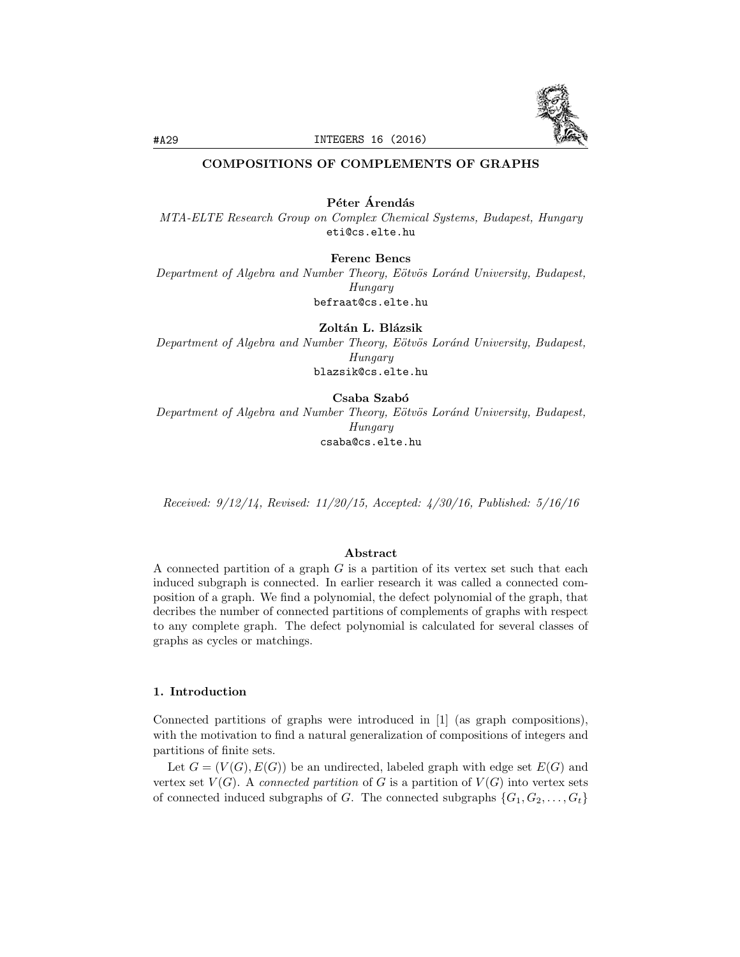

# COMPOSITIONS OF COMPLEMENTS OF GRAPHS

Péter Árendás *MTA-ELTE Research Group on Complex Chemical Systems, Budapest, Hungary* eti@cs.elte.hu

Ferenc Bencs

*Department of Algebra and Number Theory, E¨otv¨os Lor´and University, Budapest, Hungary* befraat@cs.elte.hu

Zoltán L. Blázsik *Department of Algebra and Number Theory, E¨otv¨os Lor´and University, Budapest, Hungary* blazsik@cs.elte.hu

Csaba Szabó

*Department of Algebra and Number Theory, E¨otv¨os Lor´and University, Budapest, Hungary* csaba@cs.elte.hu

*Received: 9/12/14, Revised: 11/20/15, Accepted: 4/30/16, Published: 5/16/16*

### Abstract

A connected partition of a graph *G* is a partition of its vertex set such that each induced subgraph is connected. In earlier research it was called a connected composition of a graph. We find a polynomial, the defect polynomial of the graph, that decribes the number of connected partitions of complements of graphs with respect to any complete graph. The defect polynomial is calculated for several classes of graphs as cycles or matchings.

## 1. Introduction

Connected partitions of graphs were introduced in [1] (as graph compositions), with the motivation to find a natural generalization of compositions of integers and partitions of finite sets.

Let  $G = (V(G), E(G))$  be an undirected, labeled graph with edge set  $E(G)$  and vertex set  $V(G)$ . A *connected partition* of G is a partition of  $V(G)$  into vertex sets of connected induced subgraphs of *G*. The connected subgraphs  $\{G_1, G_2, \ldots, G_t\}$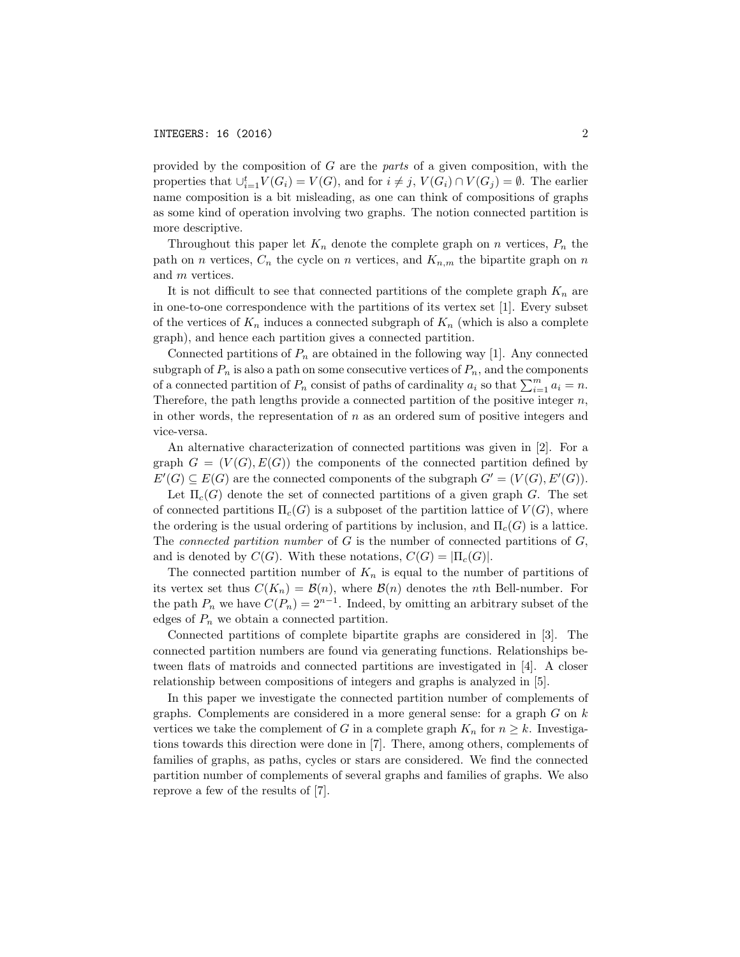provided by the composition of *G* are the *parts* of a given composition, with the properties that  $\bigcup_{i=1}^{t} V(G_i) = V(G)$ , and for  $i \neq j$ ,  $V(G_i) \cap V(G_j) = \emptyset$ . The earlier name composition is a bit misleading, as one can think of compositions of graphs as some kind of operation involving two graphs. The notion connected partition is more descriptive.

Throughout this paper let  $K_n$  denote the complete graph on *n* vertices,  $P_n$  the path on *n* vertices,  $C_n$  the cycle on *n* vertices, and  $K_{n,m}$  the bipartite graph on *n* and *m* vertices.

It is not difficult to see that connected partitions of the complete graph  $K_n$  are in one-to-one correspondence with the partitions of its vertex set [1]. Every subset of the vertices of  $K_n$  induces a connected subgraph of  $K_n$  (which is also a complete graph), and hence each partition gives a connected partition.

Connected partitions of  $P_n$  are obtained in the following way [1]. Any connected subgraph of  $P_n$  is also a path on some consecutive vertices of  $P_n$ , and the components of a connected partition of  $P_n$  consist of paths of cardinality  $a_i$  so that  $\sum_{i=1}^{m} a_i = n$ . Therefore, the path lengths provide a connected partition of the positive integer *n*, in other words, the representation of *n* as an ordered sum of positive integers and vice-versa.

An alternative characterization of connected partitions was given in [2]. For a graph  $G = (V(G), E(G))$  the components of the connected partition defined by  $E'(G) \subseteq E(G)$  are the connected components of the subgraph  $G' = (V(G), E'(G))$ .

Let  $\Pi_c(G)$  denote the set of connected partitions of a given graph *G*. The set of connected partitions  $\Pi_c(G)$  is a subposet of the partition lattice of  $V(G)$ , where the ordering is the usual ordering of partitions by inclusion, and  $\Pi_c(G)$  is a lattice. The *connected partition number* of *G* is the number of connected partitions of *G*, and is denoted by  $C(G)$ . With these notations,  $C(G) = |\Pi_c(G)|$ .

The connected partition number of  $K_n$  is equal to the number of partitions of its vertex set thus  $C(K_n) = \mathcal{B}(n)$ , where  $\mathcal{B}(n)$  denotes the *n*th Bell-number. For the path  $P_n$  we have  $C(P_n) = 2^{n-1}$ . Indeed, by omitting an arbitrary subset of the edges of  $P_n$  we obtain a connected partition.

Connected partitions of complete bipartite graphs are considered in [3]. The connected partition numbers are found via generating functions. Relationships between flats of matroids and connected partitions are investigated in [4]. A closer relationship between compositions of integers and graphs is analyzed in [5].

In this paper we investigate the connected partition number of complements of graphs. Complements are considered in a more general sense: for a graph *G* on *k* vertices we take the complement of *G* in a complete graph  $K_n$  for  $n \geq k$ . Investigations towards this direction were done in [7]. There, among others, complements of families of graphs, as paths, cycles or stars are considered. We find the connected partition number of complements of several graphs and families of graphs. We also reprove a few of the results of [7].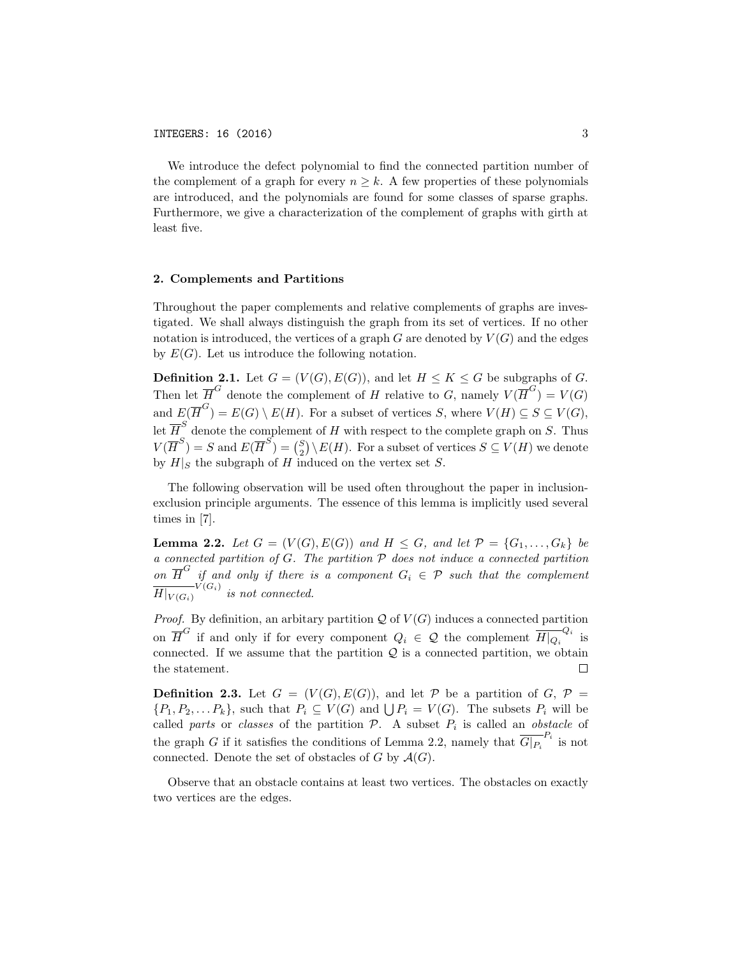We introduce the defect polynomial to find the connected partition number of the complement of a graph for every  $n > k$ . A few properties of these polynomials are introduced, and the polynomials are found for some classes of sparse graphs. Furthermore, we give a characterization of the complement of graphs with girth at least five.

## 2. Complements and Partitions

Throughout the paper complements and relative complements of graphs are investigated. We shall always distinguish the graph from its set of vertices. If no other notation is introduced, the vertices of a graph  $G$  are denoted by  $V(G)$  and the edges by  $E(G)$ . Let us introduce the following notation.

**Definition 2.1.** Let  $G = (V(G), E(G))$ , and let  $H \leq K \leq G$  be subgraphs of *G*. Then let  $\overline{H}^G$  denote the complement of *H* relative to *G*, namely  $V(\overline{H}^G) = V(G)$ and  $E(\overline{H}^G) = E(G) \setminus E(H)$ . For a subset of vertices *S*, where  $V(H) \subseteq S \subseteq V(G)$ , let  $\overline{H}^S$  denote the complement of *H* with respect to the complete graph on *S*. Thus  $V(\overline{H}^S) = S$  and  $E(\overline{H}^S) = {S \choose 2} \setminus E(H)$ . For a subset of vertices  $S \subseteq V(H)$  we denote by  $H|_S$  the subgraph of *H* induced on the vertex set *S*.

The following observation will be used often throughout the paper in inclusionexclusion principle arguments. The essence of this lemma is implicitly used several times in [7].

**Lemma 2.2.** Let  $G = (V(G), E(G))$  and  $H \leq G$ , and let  $P = \{G_1, ..., G_k\}$  be *a connected partition of G. The partition P does not induce a connected partition on*  $\overline{H}^G$  *if and only if there is a component*  $G_i \in \mathcal{P}$  *such that the complement*  $\overline{H|_{V(G_i)}}^{V(G_i)}$  *is not connected.* 

*Proof.* By definition, an arbitary partition  $Q$  of  $V(G)$  induces a connected partition on  $\overline{H}^G$  if and only if for every component  $Q_i \in \mathcal{Q}$  the complement  $\overline{H|_{Q_i}}^{Q_i}$  is connected. If we assume that the partition *Q* is a connected partition, we obtain the statement.

**Definition 2.3.** Let  $G = (V(G), E(G))$ , and let  $P$  be a partition of  $G, P =$  $\{P_1, P_2, \ldots P_k\}$ , such that  $P_i \subseteq V(G)$  and  $\bigcup P_i = V(G)$ . The subsets  $P_i$  will be called *parts* or *classes* of the partition  $P$ . A subset  $P_i$  is called an *obstacle* of the graph *G* if it satisfies the conditions of Lemma 2.2, namely that  $\overline{G|_{P_i}}^{P_i}$  is not connected. Denote the set of obstacles of  $G$  by  $\mathcal{A}(G)$ .

Observe that an obstacle contains at least two vertices. The obstacles on exactly two vertices are the edges.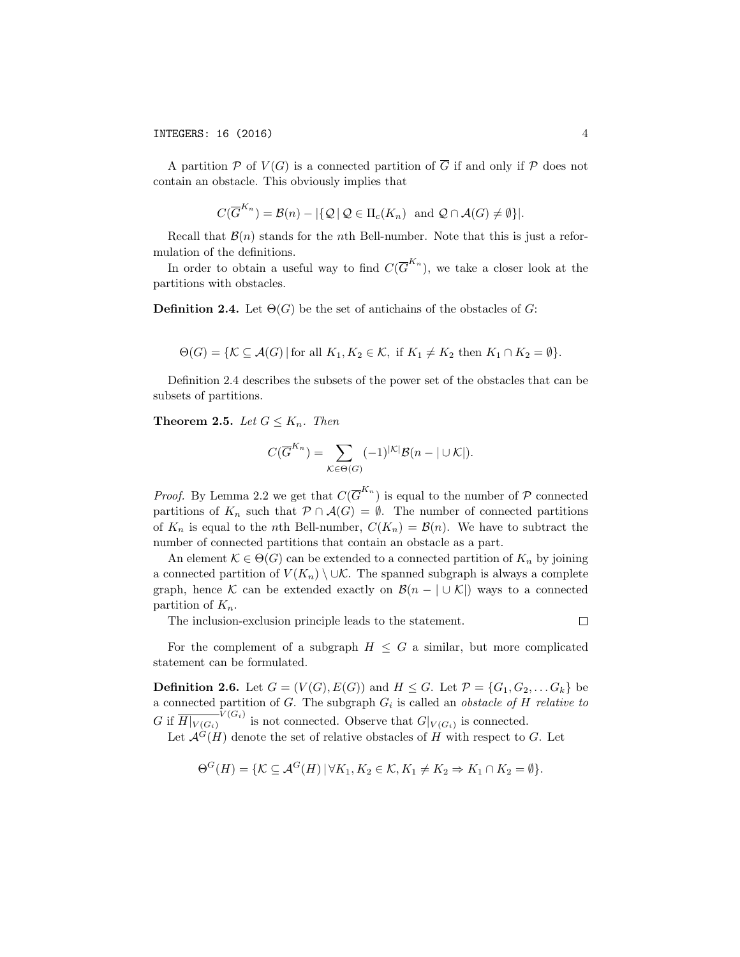A partition  $P$  of  $V(G)$  is a connected partition of  $\overline{G}$  if and only if  $P$  does not contain an obstacle. This obviously implies that

$$
C(\overline{G}^{K_n}) = \mathcal{B}(n) - |\{ \mathcal{Q} \mid \mathcal{Q} \in \Pi_c(K_n) \text{ and } \mathcal{Q} \cap \mathcal{A}(G) \neq \emptyset \}|.
$$

Recall that  $\mathcal{B}(n)$  stands for the *n*th Bell-number. Note that this is just a reformulation of the definitions.

In order to obtain a useful way to find  $C(\overline{G}^{K_n})$ , we take a closer look at the partitions with obstacles.

**Definition 2.4.** Let  $\Theta(G)$  be the set of antichains of the obstacles of G:

$$
\Theta(G) = \{ \mathcal{K} \subseteq \mathcal{A}(G) \mid \text{for all } K_1, K_2 \in \mathcal{K}, \text{ if } K_1 \neq K_2 \text{ then } K_1 \cap K_2 = \emptyset \}.
$$

Definition 2.4 describes the subsets of the power set of the obstacles that can be subsets of partitions.

**Theorem 2.5.** *Let*  $G \leq K_n$ *. Then* 

$$
C(\overline{G}^{K_n}) = \sum_{\mathcal{K} \in \Theta(G)} (-1)^{|\mathcal{K}|} \mathcal{B}(n - |\cup \mathcal{K}|).
$$

*Proof.* By Lemma 2.2 we get that  $C(\overline{G}^{K_n})$  is equal to the number of  $P$  connected partitions of  $K_n$  such that  $P \cap A(G) = \emptyset$ . The number of connected partitions of  $K_n$  is equal to the *n*th Bell-number,  $C(K_n) = \mathcal{B}(n)$ . We have to subtract the number of connected partitions that contain an obstacle as a part.

An element  $\mathcal{K} \in \Theta(G)$  can be extended to a connected partition of  $K_n$  by joining a connected partition of  $V(K_n) \setminus \cup \mathcal{K}$ . The spanned subgraph is always a complete graph, hence *K* can be extended exactly on  $\mathcal{B}(n - | \cup K|)$  ways to a connected partition of *Kn*.

The inclusion-exclusion principle leads to the statement.

 $\Box$ 

For the complement of a subgraph  $H \leq G$  a similar, but more complicated statement can be formulated.

**Definition 2.6.** Let  $G = (V(G), E(G))$  and  $H \leq G$ . Let  $\mathcal{P} = \{G_1, G_2, \ldots, G_k\}$  be a connected partition of *G*. The subgraph *G<sup>i</sup>* is called an *obstacle of H relative to G* if  $\overline{H|_{V(G_i)}}^{V(G_i)}$  is not connected. Observe that  $G|_{V(G_i)}$  is connected.

Let  $\mathcal{A}^G(H)$  denote the set of relative obstacles of *H* with respect to *G*. Let

$$
\Theta^G(H) = \{ \mathcal{K} \subseteq \mathcal{A}^G(H) \, | \, \forall K_1, K_2 \in \mathcal{K}, K_1 \neq K_2 \Rightarrow K_1 \cap K_2 = \emptyset \}.
$$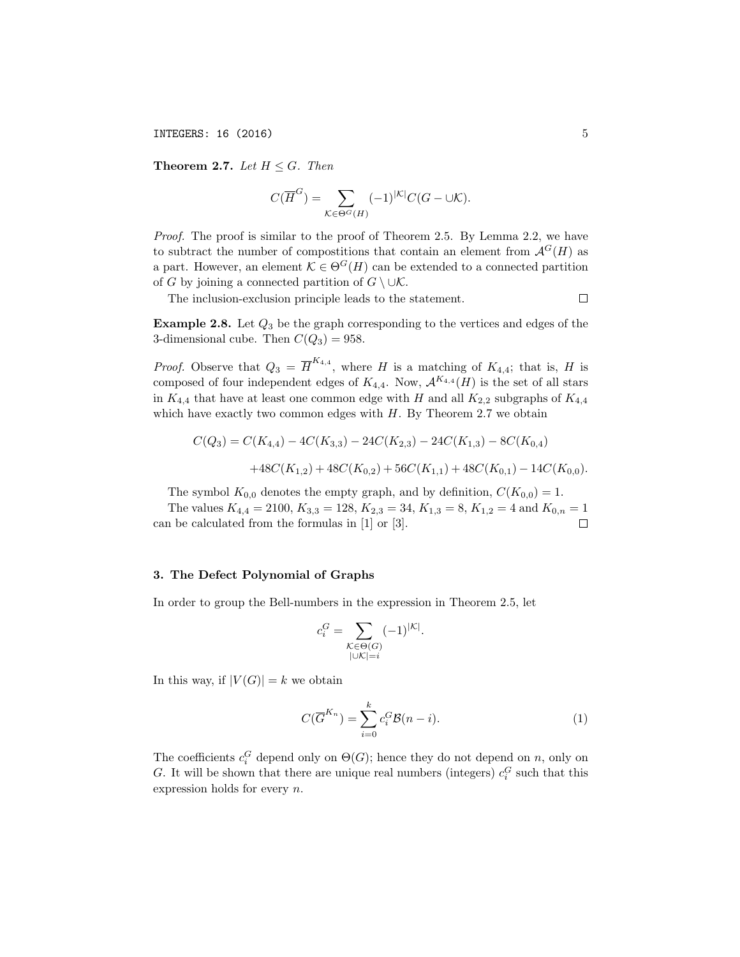INTEGERS: 16 (2016) 5

**Theorem 2.7.** *Let*  $H \leq G$ *. Then* 

$$
C(\overline{H}^G) = \sum_{\mathcal{K} \in \Theta^G(H)} (-1)^{|\mathcal{K}|} C(G - \cup \mathcal{K}).
$$

*Proof.* The proof is similar to the proof of Theorem 2.5. By Lemma 2.2, we have to subtract the number of compositions that contain an element from  $\mathcal{A}^G(H)$  as a part. However, an element  $\mathcal{K} \in \Theta^G(H)$  can be extended to a connected partition of *G* by joining a connected partition of  $G \setminus \cup \mathcal{K}$ .

The inclusion-exclusion principle leads to the statement.

 $\Box$ 

Example 2.8. Let *Q*<sup>3</sup> be the graph corresponding to the vertices and edges of the 3-dimensional cube. Then  $C(Q_3) = 958$ .

*Proof.* Observe that  $Q_3 = \overline{H}^{K_{4,4}}$ , where *H* is a matching of  $K_{4,4}$ ; that is, *H* is composed of four independent edges of  $K_{4,4}$ . Now,  $\mathcal{A}^{K_{4,4}}(H)$  is the set of all stars in  $K_{4,4}$  that have at least one common edge with *H* and all  $K_{2,2}$  subgraphs of  $K_{4,4}$ which have exactly two common edges with *H*. By Theorem 2.7 we obtain

$$
C(Q_3) = C(K_{4,4}) - 4C(K_{3,3}) - 24C(K_{2,3}) - 24C(K_{1,3}) - 8C(K_{0,4})
$$
  
+48C(K\_{1,2}) + 48C(K\_{0,2}) + 56C(K\_{1,1}) + 48C(K\_{0,1}) - 14C(K\_{0,0}).

The symbol  $K_{0,0}$  denotes the empty graph, and by definition,  $C(K_{0,0}) = 1$ .

The values  $K_{4,4} = 2100, K_{3,3} = 128, K_{2,3} = 34, K_{1,3} = 8, K_{1,2} = 4$  and  $K_{0,n} = 1$ can be calculated from the formulas in [1] or [3].  $\Box$ 

#### 3. The Defect Polynomial of Graphs

In order to group the Bell-numbers in the expression in Theorem 2.5, let

$$
c_i^G = \sum_{\substack{\mathcal{K} \in \Theta(G) \\ |\cup \mathcal{K}| = i}} (-1)^{|\mathcal{K}|}.
$$

In this way, if  $|V(G)| = k$  we obtain

$$
C(\overline{G}^{K_n}) = \sum_{i=0}^{k} c_i^G \mathcal{B}(n-i).
$$
 (1)

The coefficients  $c_i^G$  depend only on  $\Theta(G)$ ; hence they do not depend on *n*, only on *G*. It will be shown that there are unique real numbers (integers)  $c_i^G$  such that this expression holds for every *n*.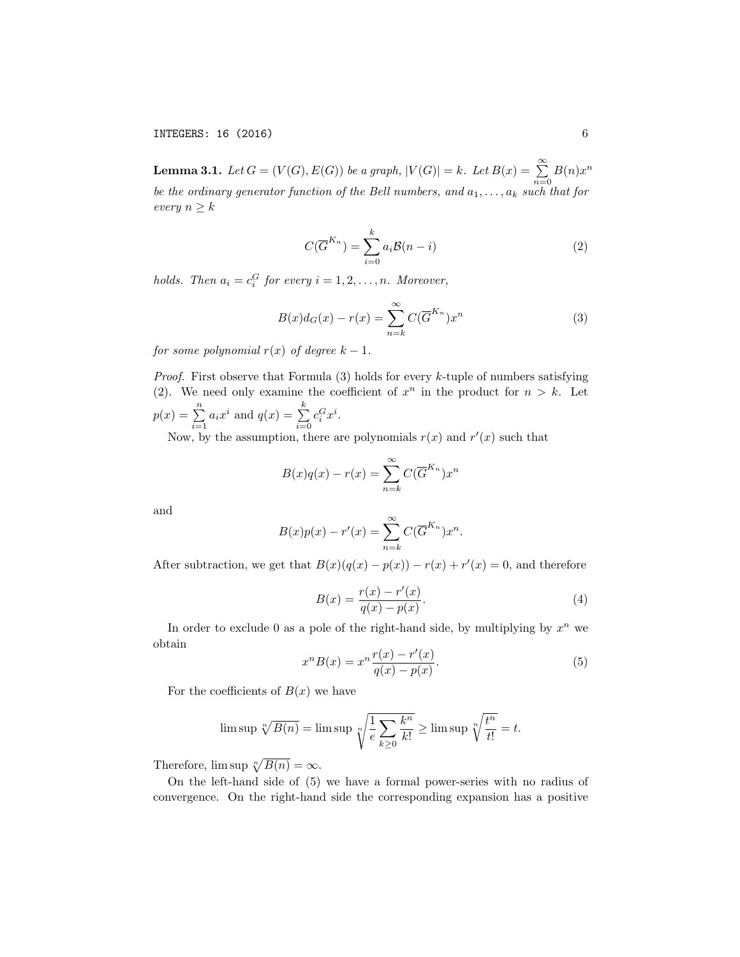INTEGERS: 16 (2016) 6

 $\textbf{Lemma 3.1.} \ \ Let \ G=(V(G),E(G)) \ be \ a \ graph, \ |V(G)|=k. \ \ Let \ B(x)=\ \sum_{i=1}^{\infty}p_{i}(x_{i})\ (x_{i})=\sum_{i=1}^{\infty}p_{i}(x_{i})\ (x_{i})=\sum_{i=1}^{\infty}p_{i}(x_{i})=\sum_{i=1}^{\infty}p_{i}(x_{i})$  $\sum_{n=0}$   $B(n)x^n$ be the ordinary generator function of the Bell numbers, and  $a_1, \ldots, a_k$  such that for *every*  $n > k$ 

$$
C(\overline{G}^{K_n}) = \sum_{i=0}^{k} a_i \mathcal{B}(n-i)
$$
 (2)

*holds. Then*  $a_i = c_i^G$  *for every*  $i = 1, 2, ..., n$ *. Moreover,* 

$$
B(x)d_G(x) - r(x) = \sum_{n=k}^{\infty} C(\overline{G}^{K_n})x^n
$$
\n(3)

*for some polynomial*  $r(x)$  *of degree*  $k-1$ *.* 

*Proof.* First observe that Formula (3) holds for every *k*-tuple of numbers satisfying (2). We need only examine the coefficient of  $x^n$  in the product for  $n > k$ . Let  $p(x) = \sum_{n=1}^{n}$  $\sum_{i=1}^{n} a_i x^i$  and  $q(x) = \sum_{i=0}^{k}$ *i*=0  $c_i^G x^i$ .

Now, by the assumption, there are polynomials  $r(x)$  and  $r'(x)$  such that

$$
B(x)q(x) - r(x) = \sum_{n=k}^{\infty} C(\overline{G}^{K_n})x^n
$$

and

$$
B(x)p(x) - r'(x) = \sum_{n=k}^{\infty} C(\overline{G}^{K_n})x^n.
$$

After subtraction, we get that  $B(x)(q(x) - p(x)) - r(x) + r'(x) = 0$ , and therefore

$$
B(x) = \frac{r(x) - r'(x)}{q(x) - p(x)}.
$$
 (4)

In order to exclude 0 as a pole of the right-hand side, by multiplying by  $x^n$  we obtain

$$
x^{n}B(x) = x^{n}\frac{r(x) - r'(x)}{q(x) - p(x)}.
$$
\n(5)

For the coefficients of  $B(x)$  we have

$$
\limsup \sqrt[n]{B(n)} = \limsup \sqrt[n]{\frac{1}{e} \sum_{k \ge 0} \frac{k^n}{k!}} \ge \limsup \sqrt[n]{\frac{t^n}{t!}} = t.
$$

Therefore,  $\limsup \sqrt[n]{B(n)} = \infty$ .

On the left-hand side of (5) we have a formal power-series with no radius of convergence. On the right-hand side the corresponding expansion has a positive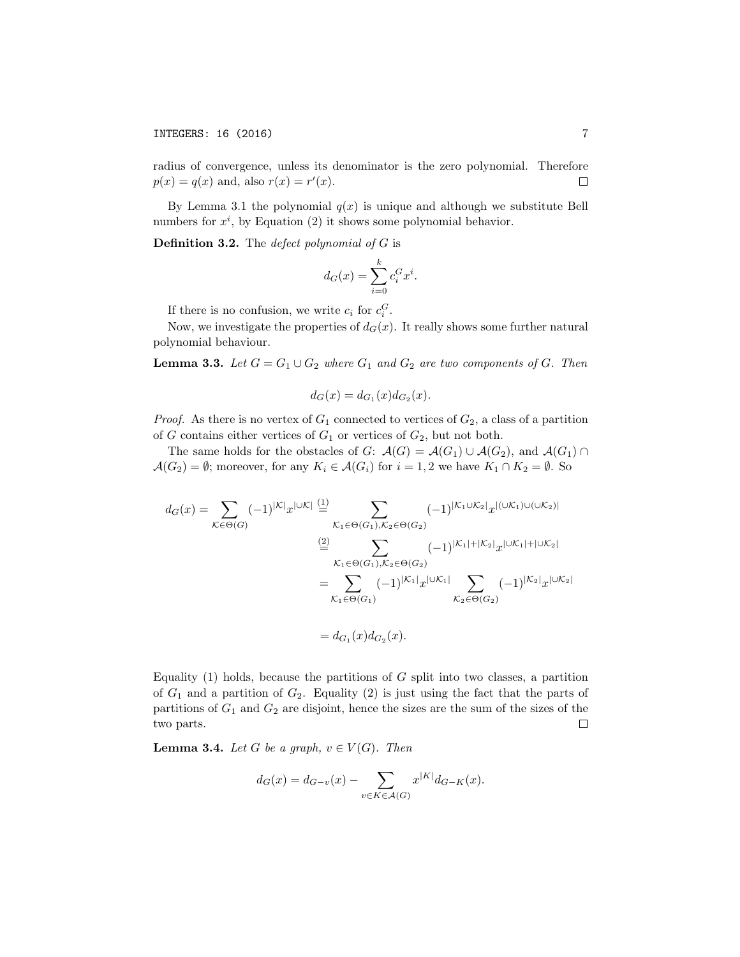radius of convergence, unless its denominator is the zero polynomial. Therefore  $p(x) = q(x)$  and, also  $r(x) = r'(x)$ . □

By Lemma 3.1 the polynomial  $q(x)$  is unique and although we substitute Bell numbers for  $x^i$ , by Equation  $(2)$  it shows some polynomial behavior.

Definition 3.2. The *defect polynomial of G* is

$$
d_G(x) = \sum_{i=0}^{k} c_i^G x^i.
$$

If there is no confusion, we write  $c_i$  for  $c_i^G$ .

Now, we investigate the properties of  $d_G(x)$ . It really shows some further natural polynomial behaviour.

**Lemma 3.3.** Let  $G = G_1 \cup G_2$  where  $G_1$  and  $G_2$  are two components of  $G$ . Then

$$
d_G(x) = d_{G_1}(x)d_{G_2}(x).
$$

*Proof.* As there is no vertex of  $G_1$  connected to vertices of  $G_2$ , a class of a partition of *G* contains either vertices of  $G_1$  or vertices of  $G_2$ , but not both.

The same holds for the obstacles of *G*:  $\mathcal{A}(G) = \mathcal{A}(G_1) \cup \mathcal{A}(G_2)$ , and  $\mathcal{A}(G_1) \cap$  $\mathcal{A}(G_2) = \emptyset$ ; moreover, for any  $K_i \in \mathcal{A}(G_i)$  for  $i = 1, 2$  we have  $K_1 \cap K_2 = \emptyset$ . So

$$
d_G(x) = \sum_{\mathcal{K} \in \Theta(G)} (-1)^{|\mathcal{K}|} x^{|\cup \mathcal{K}|} \stackrel{(1)}{=} \sum_{\mathcal{K}_1 \in \Theta(G_1), \mathcal{K}_2 \in \Theta(G_2)} (-1)^{|\mathcal{K}_1 \cup \mathcal{K}_2|} x^{|(\cup \mathcal{K}_1) \cup (\cup \mathcal{K}_2)|}
$$
  
\n
$$
\stackrel{(2)}{=} \sum_{\mathcal{K}_1 \in \Theta(G_1), \mathcal{K}_2 \in \Theta(G_2)} (-1)^{|\mathcal{K}_1| + |\mathcal{K}_2|} x^{|\cup \mathcal{K}_1| + |\cup \mathcal{K}_2|}
$$
  
\n
$$
= \sum_{\mathcal{K}_1 \in \Theta(G_1)} (-1)^{|\mathcal{K}_1|} x^{|\cup \mathcal{K}_1|} \sum_{\mathcal{K}_2 \in \Theta(G_2)} (-1)^{|\mathcal{K}_2|} x^{|\cup \mathcal{K}_2|}
$$
  
\n
$$
= d_{G_1}(x) d_{G_2}(x).
$$

Equality (1) holds, because the partitions of *G* split into two classes, a partition of  $G_1$  and a partition of  $G_2$ . Equality (2) is just using the fact that the parts of partitions of *G*<sup>1</sup> and *G*<sup>2</sup> are disjoint, hence the sizes are the sum of the sizes of the two parts. □

**Lemma 3.4.** *Let G be a graph*,  $v \in V(G)$ *. Then* 

$$
d_G(x) = d_{G-v}(x) - \sum_{v \in K \in \mathcal{A}(G)} x^{|K|} d_{G-K}(x).
$$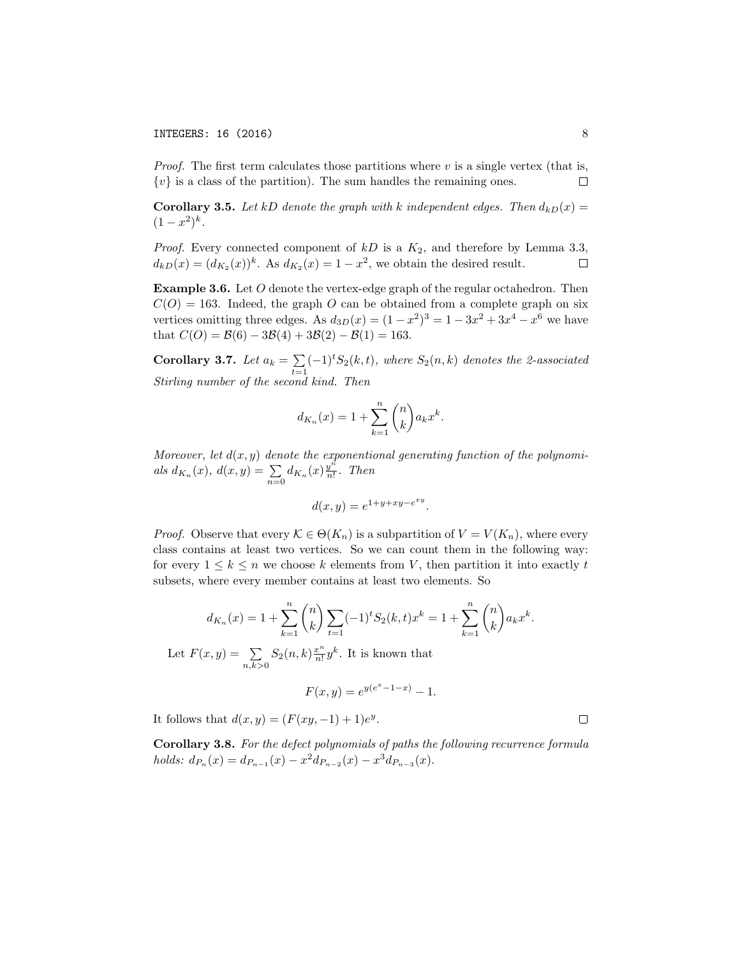*Proof.* The first term calculates those partitions where *v* is a single vertex (that is,  $\{v\}$  is a class of the partition). The sum handles the remaining ones. □

**Corollary 3.5.** Let *kD* denote the graph with *k* independent edges. Then  $d_{kD}(x) =$  $(1 - x^2)^k$ .

*Proof.* Every connected component of *kD* is a *K*2, and therefore by Lemma 3.3,  $d_{kD}(x) = (d_{K_2}(x))^{k}$ . As  $d_{K_2}(x) = 1 - x^2$ , we obtain the desired result. □

Example 3.6. Let *O* denote the vertex-edge graph of the regular octahedron. Then  $C(O) = 163$ . Indeed, the graph *O* can be obtained from a complete graph on six vertices omitting three edges. As  $d_{3D}(x) = (1 - x^2)^3 = 1 - 3x^2 + 3x^4 - x^6$  we have that  $C(O) = B(6) - 3B(4) + 3B(2) - B(1) = 163$ .

**Corollary 3.7.** Let  $a_k = \sum_{t=1}^k (-1)^t S_2(k,t)$ , where  $S_2(n,k)$  denotes the 2-associated *Stirling number of the second kind. Then*

$$
d_{K_n}(x) = 1 + \sum_{k=1}^n \binom{n}{k} a_k x^k.
$$

*Moreover, let d*(*x, y*) *denote the exponentional generating function of the polynomials*  $d_{K_n}(x)$ ,  $d(x, y) = \sum_{n=0}^{\infty} d_{K_n}(x) \frac{y^n}{n!}$ . *Then* 

$$
d(x,y) = e^{1+y+xy-e^{xy}}.
$$

*Proof.* Observe that every  $K \in \Theta(K_n)$  is a subpartition of  $V = V(K_n)$ , where every class contains at least two vertices. So we can count them in the following way: for every  $1 \leq k \leq n$  we choose *k* elements from *V*, then partition it into exactly *t* subsets, where every member contains at least two elements. So

$$
d_{K_n}(x) = 1 + \sum_{k=1}^n \binom{n}{k} \sum_{t=1}^n (-1)^t S_2(k, t) x^k = 1 + \sum_{k=1}^n \binom{n}{k} a_k x^k.
$$

Let  $F(x, y) = \sum$  $\sum_{n,k>0} S_2(n,k) \frac{x^n}{n!} y^k$ . It is known that

$$
F(x,y) = e^{y(e^x - 1 - x)} - 1.
$$

It follows that  $d(x, y) = (F(xy, -1) + 1)e^y$ .

Corollary 3.8. *For the defect polynomials of paths the following recurrence formula holds:*  $d_{P_n}(x) = d_{P_{n-1}}(x) - x^2 d_{P_{n-2}}(x) - x^3 d_{P_{n-3}}(x)$ .

 $\Box$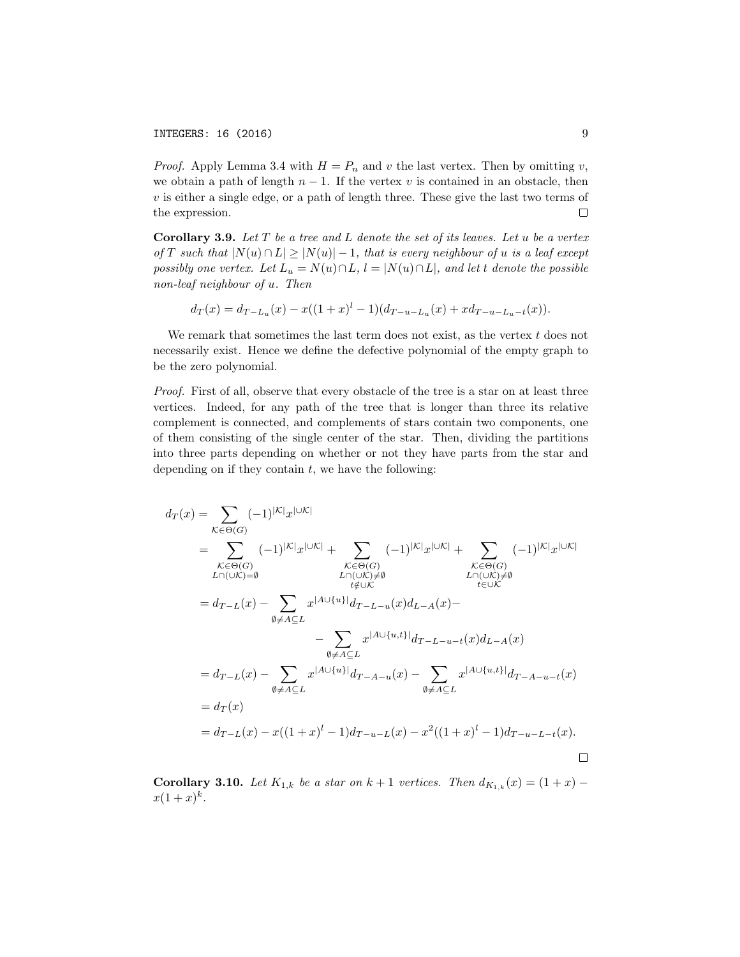*Proof.* Apply Lemma 3.4 with  $H = P_n$  and *v* the last vertex. Then by omitting *v*, we obtain a path of length  $n-1$ . If the vertex  $v$  is contained in an obstacle, then *v* is either a single edge, or a path of length three. These give the last two terms of the expression. 口

Corollary 3.9. *Let T be a tree and L denote the set of its leaves. Let u be a vertex* of T such that  $|N(u) \cap L| \geq |N(u)| - 1$ , that is every neighbour of u is a leaf except possibly one vertex. Let  $L_u = N(u) \cap L$ ,  $l = |N(u) \cap L|$ , and let t denote the possible *non-leaf neighbour of u. Then*

$$
d_T(x) = d_{T-L_u}(x) - x((1+x)^{l} - 1)(d_{T-u-L_u}(x) + xd_{T-u-L_u-t}(x)).
$$

We remark that sometimes the last term does not exist, as the vertex *t* does not necessarily exist. Hence we define the defective polynomial of the empty graph to be the zero polynomial.

*Proof.* First of all, observe that every obstacle of the tree is a star on at least three vertices. Indeed, for any path of the tree that is longer than three its relative complement is connected, and complements of stars contain two components, one of them consisting of the single center of the star. Then, dividing the partitions into three parts depending on whether or not they have parts from the star and depending on if they contain *t*, we have the following:

$$
d_T(x) = \sum_{K \in \Theta(G)} (-1)^{|K|} x^{|U|K|} \n= \sum_{\substack{K \in \Theta(G) \\ L \cap (U|K) = \emptyset}} (-1)^{|K|} x^{|U|K|} + \sum_{\substack{K \in \Theta(G) \\ L \cap (U|K) \neq \emptyset}} (-1)^{|K|} x^{|U|K|} + \sum_{\substack{K \in \Theta(G) \\ t \neq UK}} (-1)^{|K|} x^{|U|K|} \n= d_{T-L}(x) - \sum_{\substack{0 \neq A \subseteq L \\ \emptyset \neq A \subseteq L}} x^{|A \cup \{u\}|} d_{T-L-u}(x) d_{L-A}(x) - \sum_{\substack{0 \neq A \subseteq L \\ \emptyset \neq A \subseteq L}} x^{|A \cup \{u,t\}|} d_{T-A-u}(x) - \sum_{\substack{0 \neq A \subseteq L \\ \emptyset \neq A \subseteq L}} x^{|A \cup \{u,t\}|} d_{T-A-u}(x) \n= d_T(x) \n= d_{T-L}(x) - x((1+x)^l - 1) d_{T-u-L}(x) - x^2((1+x)^l - 1) d_{T-u-L-t}(x).
$$

**Corollary 3.10.** *Let*  $K_{1,k}$  *be a star on*  $k + 1$  *vertices. Then*  $d_{K_{1,k}}(x) = (1 + x)$  $x(1+x)^k$ .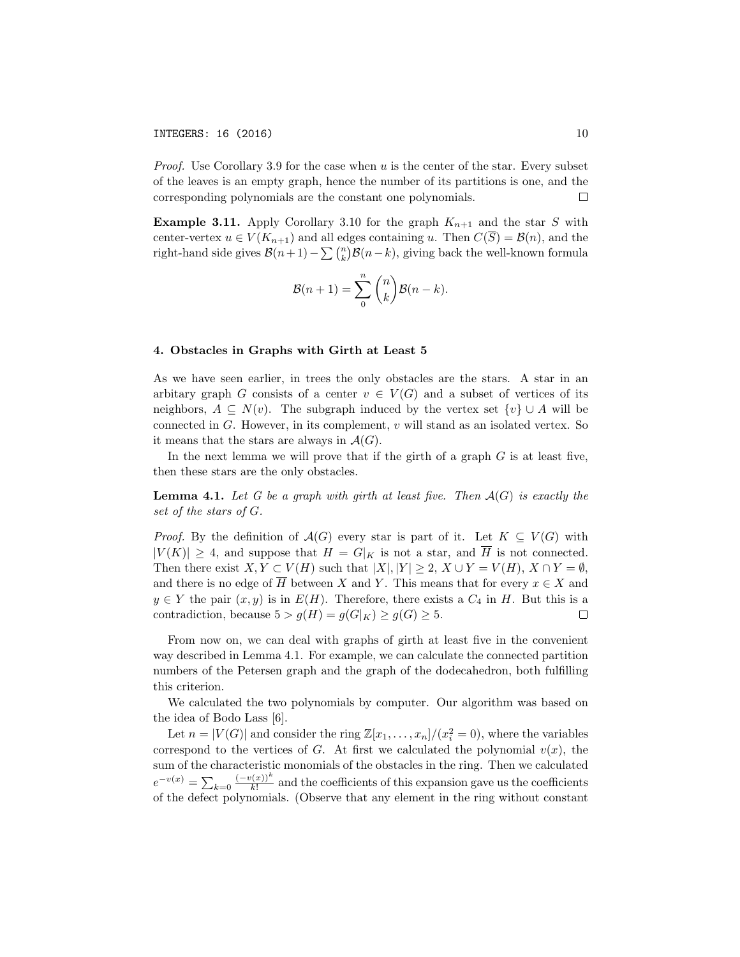*Proof.* Use Corollary 3.9 for the case when *u* is the center of the star. Every subset of the leaves is an empty graph, hence the number of its partitions is one, and the corresponding polynomials are the constant one polynomials. □

**Example 3.11.** Apply Corollary 3.10 for the graph  $K_{n+1}$  and the star *S* with center-vertex  $u \in V(K_{n+1})$  and all edges containing *u*. Then  $C(\overline{S}) = \mathcal{B}(n)$ , and the right-hand side gives  $\mathcal{B}(n+1) - \sum \binom{n}{k} \mathcal{B}(n-k)$ , giving back the well-known formula

$$
\mathcal{B}(n+1) = \sum_{0}^{n} {n \choose k} \mathcal{B}(n-k).
$$

### 4. Obstacles in Graphs with Girth at Least 5

As we have seen earlier, in trees the only obstacles are the stars. A star in an arbitary graph *G* consists of a center  $v \in V(G)$  and a subset of vertices of its neighbors,  $A \subseteq N(v)$ . The subgraph induced by the vertex set  $\{v\} \cup A$  will be connected in *G*. However, in its complement, *v* will stand as an isolated vertex. So it means that the stars are always in  $\mathcal{A}(G)$ .

In the next lemma we will prove that if the girth of a graph *G* is at least five, then these stars are the only obstacles.

**Lemma 4.1.** Let G be a graph with girth at least five. Then  $\mathcal{A}(G)$  is exactly the *set of the stars of G.*

*Proof.* By the definition of  $\mathcal{A}(G)$  every star is part of it. Let  $K \subseteq V(G)$  with  $|V(K)| \geq 4$ , and suppose that  $H = G|_K$  is not a star, and  $\overline{H}$  is not connected. Then there exist  $X, Y \subset V(H)$  such that  $|X|, |Y| \geq 2$ ,  $X \cup Y = V(H)$ ,  $X \cap Y = \emptyset$ , and there is no edge of  $\overline{H}$  between *X* and *Y*. This means that for every  $x \in X$  and  $y \in Y$  the pair  $(x, y)$  is in  $E(H)$ . Therefore, there exists a  $C_4$  in *H*. But this is a contradiction, because  $5 > q(H) = q(G|_K) > q(G) > 5$ . contradiction, because  $5 > g(H) = g(G|_K) \ge g(G) \ge 5$ .

From now on, we can deal with graphs of girth at least five in the convenient way described in Lemma 4.1. For example, we can calculate the connected partition numbers of the Petersen graph and the graph of the dodecahedron, both fulfilling this criterion.

We calculated the two polynomials by computer. Our algorithm was based on the idea of Bodo Lass [6].

Let  $n = |V(G)|$  and consider the ring  $\mathbb{Z}[x_1, \ldots, x_n]/(x_i^2 = 0)$ , where the variables correspond to the vertices of *G*. At first we calculated the polynomial  $v(x)$ , the sum of the characteristic monomials of the obstacles in the ring. Then we calculated  $e^{-v(x)} = \sum_{k=0} \frac{(-v(x))^k}{k!}$  and the coefficients of this expansion gave us the coefficients of the defect polynomials. (Observe that any element in the ring without constant